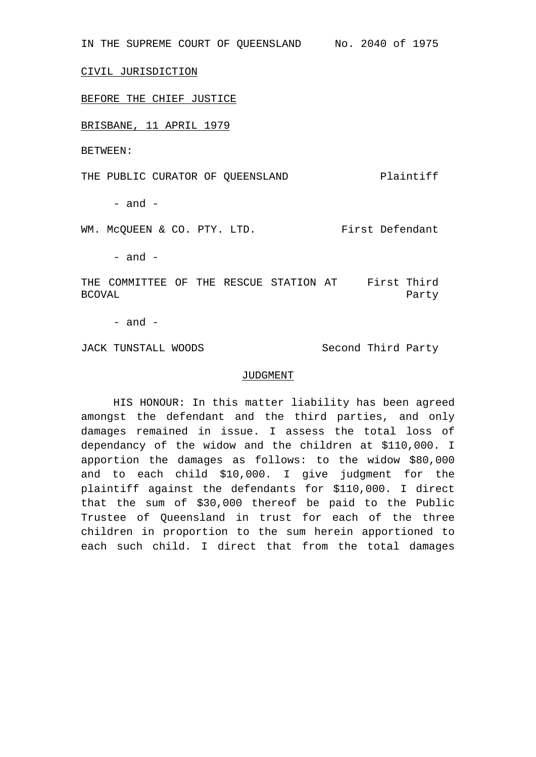IN THE SUPREME COURT OF QUEENSLAND No. 2040 of 1975

CIVIL JURISDICTION

BEFORE THE CHIEF JUSTICE

BRISBANE, 11 APRIL 1979

BETWEEN:

THE PUBLIC CURATOR OF QUEENSLAND Plaintiff

- and -

WM. McQUEEN & CO. PTY. LTD. First Defendant

 $-$  and  $-$ 

THE COMMITTEE OF THE RESCUE STATION AT First Third BCOVAL Party

 $-$  and  $-$ 

JACK TUNSTALL WOODS Second Third Party

## JUDGMENT

HIS HONOUR: In this matter liability has been agreed amongst the defendant and the third parties, and only damages remained in issue. I assess the total loss of dependancy of the widow and the children at \$110,000. I apportion the damages as follows: to the widow \$80,000 and to each child \$10,000. I give judgment for the plaintiff against the defendants for \$110,000. I direct that the sum of \$30,000 thereof be paid to the Public Trustee of Queensland in trust for each of the three children in proportion to the sum herein apportioned to each such child. I direct that from the total damages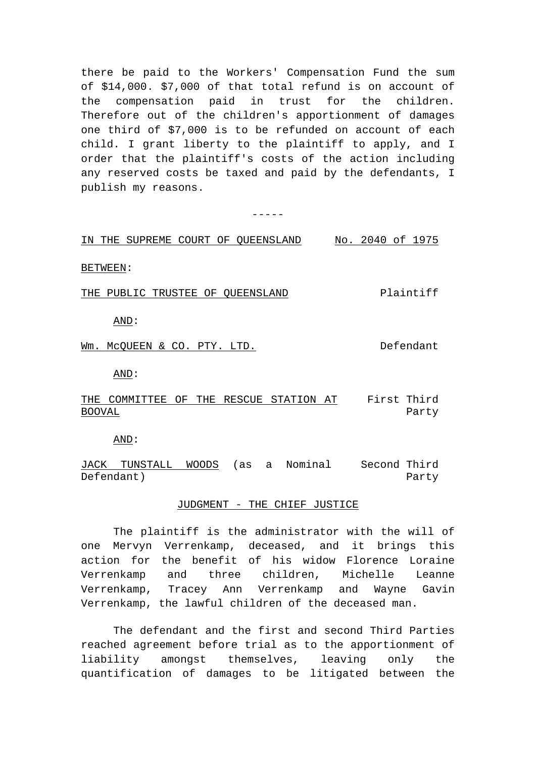there be paid to the Workers' Compensation Fund the sum of \$14,000. \$7,000 of that total refund is on account of the compensation paid in trust for the children. Therefore out of the children's apportionment of damages one third of \$7,000 is to be refunded on account of each child. I grant liberty to the plaintiff to apply, and I order that the plaintiff's costs of the action including any reserved costs be taxed and paid by the defendants, I publish my reasons.

 $-$ 

| SUPREME COURT OF QUEENSLAND<br>THE<br>ΙN | No. 2040 of 1975 |
|------------------------------------------|------------------|
| BETWEEN:                                 |                  |
| PUBLIC TRUSTEE OF QUEENSLAND<br>THE      | Plaintiff        |
| AND:                                     |                  |
| MCQUEEN & CO.<br>Wm.<br>PTY. LTD.        | Defendant        |
| AND:                                     |                  |

THE COMMITTEE OF THE RESCUE STATION AT First Third BOOVAL Party

AND:

JACK TUNSTALL WOODS (as a Nominal Second Third Defendant) Party

## JUDGMENT - THE CHIEF JUSTICE

The plaintiff is the administrator with the will of one Mervyn Verrenkamp, deceased, and it brings this action for the benefit of his widow Florence Loraine Verrenkamp and three children, Michelle Leanne Verrenkamp, Tracey Ann Verrenkamp and Wayne Gavin Verrenkamp, the lawful children of the deceased man.

The defendant and the first and second Third Parties reached agreement before trial as to the apportionment of liability amongst themselves, leaving only the quantification of damages to be litigated between the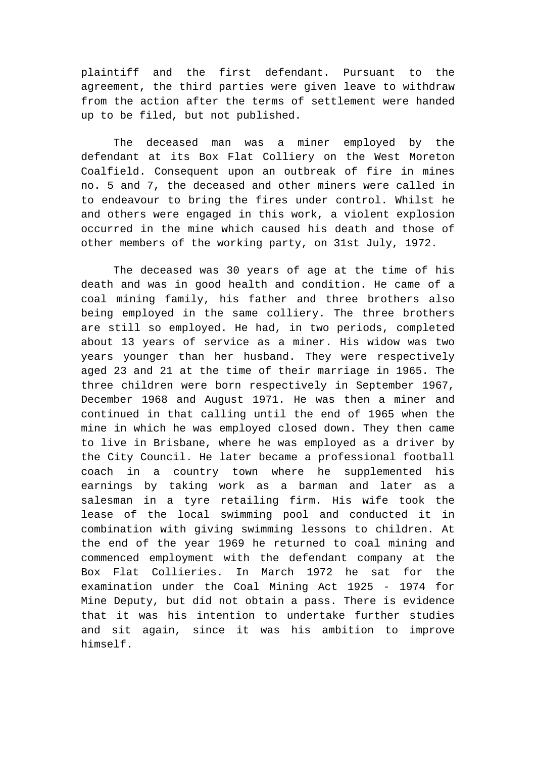plaintiff and the first defendant. Pursuant to the agreement, the third parties were given leave to withdraw from the action after the terms of settlement were handed up to be filed, but not published.

The deceased man was a miner employed by the defendant at its Box Flat Colliery on the West Moreton Coalfield. Consequent upon an outbreak of fire in mines no. 5 and 7, the deceased and other miners were called in to endeavour to bring the fires under control. Whilst he and others were engaged in this work, a violent explosion occurred in the mine which caused his death and those of other members of the working party, on 31st July, 1972.

The deceased was 30 years of age at the time of his death and was in good health and condition. He came of a coal mining family, his father and three brothers also being employed in the same colliery. The three brothers are still so employed. He had, in two periods, completed about 13 years of service as a miner. His widow was two years younger than her husband. They were respectively aged 23 and 21 at the time of their marriage in 1965. The three children were born respectively in September 1967, December 1968 and August 1971. He was then a miner and continued in that calling until the end of 1965 when the mine in which he was employed closed down. They then came to live in Brisbane, where he was employed as a driver by the City Council. He later became a professional football coach in a country town where he supplemented his earnings by taking work as a barman and later as a salesman in a tyre retailing firm. His wife took the lease of the local swimming pool and conducted it in combination with giving swimming lessons to children. At the end of the year 1969 he returned to coal mining and commenced employment with the defendant company at the Box Flat Collieries. In March 1972 he sat for the examination under the Coal Mining Act 1925 - 1974 for Mine Deputy, but did not obtain a pass. There is evidence that it was his intention to undertake further studies and sit again, since it was his ambition to improve himself.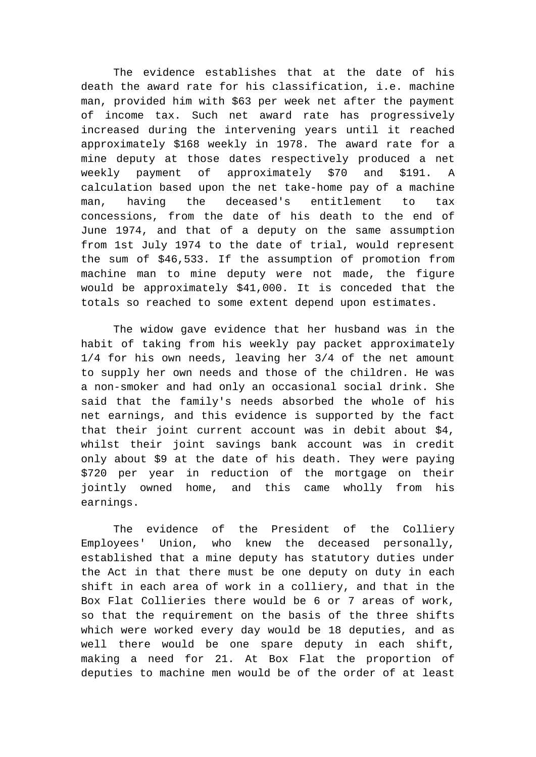The evidence establishes that at the date of his death the award rate for his classification, i.e. machine man, provided him with \$63 per week net after the payment of income tax. Such net award rate has progressively increased during the intervening years until it reached approximately \$168 weekly in 1978. The award rate for a mine deputy at those dates respectively produced a net weekly payment of approximately \$70 and \$191. A calculation based upon the net take-home pay of a machine man, having the deceased's entitlement to tax concessions, from the date of his death to the end of June 1974, and that of a deputy on the same assumption from 1st July 1974 to the date of trial, would represent the sum of \$46,533. If the assumption of promotion from machine man to mine deputy were not made, the figure would be approximately \$41,000. It is conceded that the totals so reached to some extent depend upon estimates.

The widow gave evidence that her husband was in the habit of taking from his weekly pay packet approximately 1/4 for his own needs, leaving her 3/4 of the net amount to supply her own needs and those of the children. He was a non-smoker and had only an occasional social drink. She said that the family's needs absorbed the whole of his net earnings, and this evidence is supported by the fact that their joint current account was in debit about \$4, whilst their joint savings bank account was in credit only about \$9 at the date of his death. They were paying \$720 per year in reduction of the mortgage on their jointly owned home, and this came wholly from his earnings.

The evidence of the President of the Colliery Employees' Union, who knew the deceased personally, established that a mine deputy has statutory duties under the Act in that there must be one deputy on duty in each shift in each area of work in a colliery, and that in the Box Flat Collieries there would be 6 or 7 areas of work, so that the requirement on the basis of the three shifts which were worked every day would be 18 deputies, and as well there would be one spare deputy in each shift, making a need for 21. At Box Flat the proportion of deputies to machine men would be of the order of at least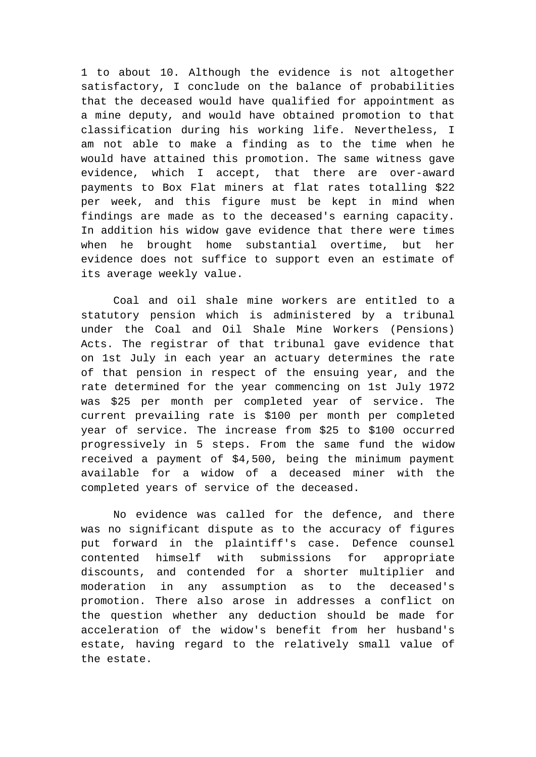1 to about 10. Although the evidence is not altogether satisfactory, I conclude on the balance of probabilities that the deceased would have qualified for appointment as a mine deputy, and would have obtained promotion to that classification during his working life. Nevertheless, I am not able to make a finding as to the time when he would have attained this promotion. The same witness gave evidence, which I accept, that there are over-award payments to Box Flat miners at flat rates totalling \$22 per week, and this figure must be kept in mind when findings are made as to the deceased's earning capacity. In addition his widow gave evidence that there were times when he brought home substantial overtime, but her evidence does not suffice to support even an estimate of its average weekly value.

Coal and oil shale mine workers are entitled to a statutory pension which is administered by a tribunal under the Coal and Oil Shale Mine Workers (Pensions) Acts. The registrar of that tribunal gave evidence that on 1st July in each year an actuary determines the rate of that pension in respect of the ensuing year, and the rate determined for the year commencing on 1st July 1972 was \$25 per month per completed year of service. The current prevailing rate is \$100 per month per completed year of service. The increase from \$25 to \$100 occurred progressively in 5 steps. From the same fund the widow received a payment of \$4,500, being the minimum payment available for a widow of a deceased miner with the completed years of service of the deceased.

No evidence was called for the defence, and there was no significant dispute as to the accuracy of figures put forward in the plaintiff's case. Defence counsel contented himself with submissions for appropriate discounts, and contended for a shorter multiplier and moderation in any assumption as to the deceased's promotion. There also arose in addresses a conflict on the question whether any deduction should be made for acceleration of the widow's benefit from her husband's estate, having regard to the relatively small value of the estate.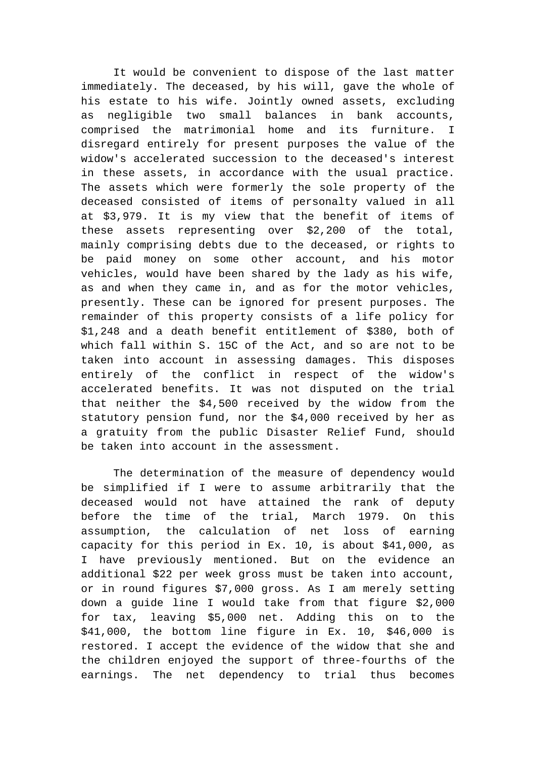It would be convenient to dispose of the last matter immediately. The deceased, by his will, gave the whole of his estate to his wife. Jointly owned assets, excluding as negligible two small balances in bank accounts, comprised the matrimonial home and its furniture. I disregard entirely for present purposes the value of the widow's accelerated succession to the deceased's interest in these assets, in accordance with the usual practice. The assets which were formerly the sole property of the deceased consisted of items of personalty valued in all at \$3,979. It is my view that the benefit of items of these assets representing over \$2,200 of the total, mainly comprising debts due to the deceased, or rights to be paid money on some other account, and his motor vehicles, would have been shared by the lady as his wife, as and when they came in, and as for the motor vehicles, presently. These can be ignored for present purposes. The remainder of this property consists of a life policy for \$1,248 and a death benefit entitlement of \$380, both of which fall within S. 15C of the Act, and so are not to be taken into account in assessing damages. This disposes entirely of the conflict in respect of the widow's accelerated benefits. It was not disputed on the trial that neither the \$4,500 received by the widow from the statutory pension fund, nor the \$4,000 received by her as a gratuity from the public Disaster Relief Fund, should be taken into account in the assessment.

The determination of the measure of dependency would be simplified if I were to assume arbitrarily that the deceased would not have attained the rank of deputy before the time of the trial, March 1979. On this assumption, the calculation of net loss of earning capacity for this period in Ex. 10, is about \$41,000, as I have previously mentioned. But on the evidence an additional \$22 per week gross must be taken into account, or in round figures \$7,000 gross. As I am merely setting down a guide line I would take from that figure \$2,000 for tax, leaving \$5,000 net. Adding this on to the \$41,000, the bottom line figure in Ex. 10, \$46,000 is restored. I accept the evidence of the widow that she and the children enjoyed the support of three-fourths of the earnings. The net dependency to trial thus becomes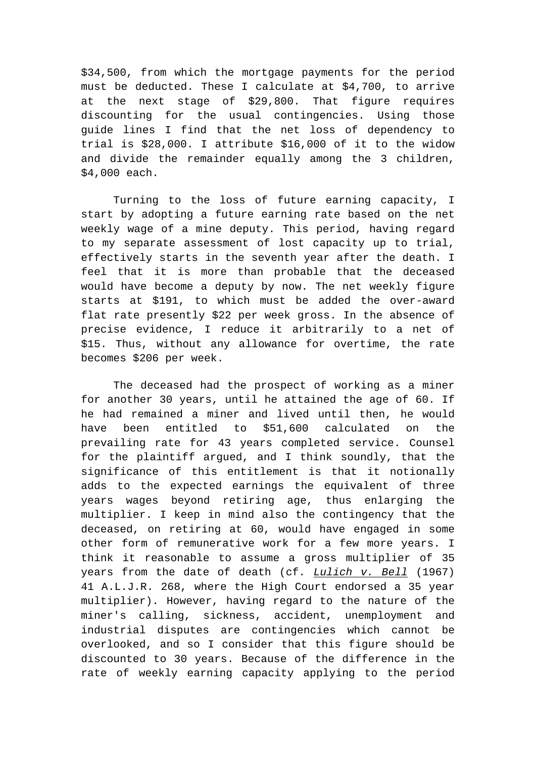\$34,500, from which the mortgage payments for the period must be deducted. These I calculate at \$4,700, to arrive at the next stage of \$29,800. That figure requires discounting for the usual contingencies. Using those guide lines I find that the net loss of dependency to trial is \$28,000. I attribute \$16,000 of it to the widow and divide the remainder equally among the 3 children, \$4,000 each.

Turning to the loss of future earning capacity, I start by adopting a future earning rate based on the net weekly wage of a mine deputy. This period, having regard to my separate assessment of lost capacity up to trial, effectively starts in the seventh year after the death. I feel that it is more than probable that the deceased would have become a deputy by now. The net weekly figure starts at \$191, to which must be added the over-award flat rate presently \$22 per week gross. In the absence of precise evidence, I reduce it arbitrarily to a net of \$15. Thus, without any allowance for overtime, the rate becomes \$206 per week.

The deceased had the prospect of working as a miner for another 30 years, until he attained the age of 60. If he had remained a miner and lived until then, he would have been entitled to \$51,600 calculated on the prevailing rate for 43 years completed service. Counsel for the plaintiff argued, and I think soundly, that the significance of this entitlement is that it notionally adds to the expected earnings the equivalent of three years wages beyond retiring age, thus enlarging the multiplier. I keep in mind also the contingency that the deceased, on retiring at 60, would have engaged in some other form of remunerative work for a few more years. I think it reasonable to assume a gross multiplier of 35 years from the date of death (cf. *Lulich v. Bell* (1967) 41 A.L.J.R. 268, where the High Court endorsed a 35 year multiplier). However, having regard to the nature of the miner's calling, sickness, accident, unemployment and industrial disputes are contingencies which cannot be overlooked, and so I consider that this figure should be discounted to 30 years. Because of the difference in the rate of weekly earning capacity applying to the period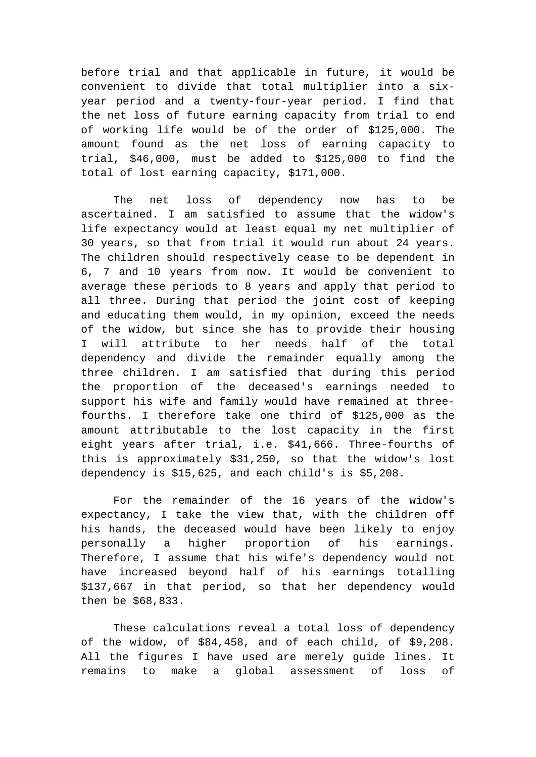before trial and that applicable in future, it would be convenient to divide that total multiplier into a sixyear period and a twenty-four-year period. I find that the net loss of future earning capacity from trial to end of working life would be of the order of \$125,000. The amount found as the net loss of earning capacity to trial, \$46,000, must be added to \$125,000 to find the total of lost earning capacity, \$171,000.

The net loss of dependency now has to be ascertained. I am satisfied to assume that the widow's life expectancy would at least equal my net multiplier of 30 years, so that from trial it would run about 24 years. The children should respectively cease to be dependent in 6, 7 and 10 years from now. It would be convenient to average these periods to 8 years and apply that period to all three. During that period the joint cost of keeping and educating them would, in my opinion, exceed the needs of the widow, but since she has to provide their housing I will attribute to her needs half of the total dependency and divide the remainder equally among the three children. I am satisfied that during this period the proportion of the deceased's earnings needed to support his wife and family would have remained at threefourths. I therefore take one third of \$125,000 as the amount attributable to the lost capacity in the first eight years after trial, i.e. \$41,666. Three-fourths of this is approximately \$31,250, so that the widow's lost dependency is \$15,625, and each child's is \$5,208.

For the remainder of the 16 years of the widow's expectancy, I take the view that, with the children off his hands, the deceased would have been likely to enjoy personally a higher proportion of his earnings. Therefore, I assume that his wife's dependency would not have increased beyond half of his earnings totalling \$137,667 in that period, so that her dependency would then be \$68,833.

These calculations reveal a total loss of dependency of the widow, of \$84,458, and of each child, of \$9,208. All the figures I have used are merely guide lines. It remains to make a global assessment of loss of